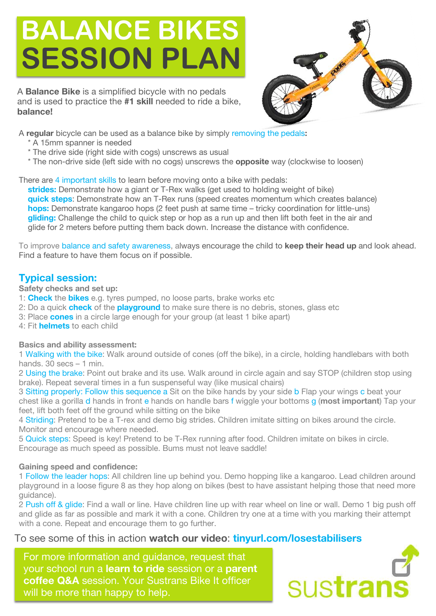# **BALANCE BIKES SESSION PLAN**

A **Balance Bike** is a simplified bicycle with no pedals and is used to practice the **#1 skill** needed to ride a bike, **balance!**



A **regular** bicycle can be used as a balance bike by simply removing the pedals**:**

- \* A 15mm spanner is needed
- \* The drive side (right side with cogs) unscrews as usual
- \* The non-drive side (left side with no cogs) unscrews the **opposite** way (clockwise to loosen)

There are 4 important skills to learn before moving onto a bike with pedals:

 **strides:** Demonstrate how a giant or T-Rex walks (get used to holding weight of bike)  **quick steps**: Demonstrate how an T-Rex runs (speed creates momentum which creates balance)  **hops:** Demonstrate kangaroo hops (2 feet push at same time – tricky coordination for little-uns)  **gliding:** Challenge the child to quick step or hop as a run up and then lift both feet in the air and glide for 2 meters before putting them back down. Increase the distance with confidence.

To improve balance and safety awareness, always encourage the child to **keep their head up** and look ahead. Find a feature to have them focus on if possible.

### **Typical session:**

**Safety checks and set up:**

- 1: **Check** the **bikes** e.g. tyres pumped, no loose parts, brake works etc
- 2: Do a quick **check** of the **playground** to make sure there is no debris, stones, glass etc
- 3: Place **cones** in a circle large enough for your group (at least 1 bike apart)

4: Fit **helmets** to each child

**Basics and ability assessment:**

1 Walking with the bike: Walk around outside of cones (off the bike), in a circle, holding handlebars with both hands. 30 secs - 1 min.

2 Using the brake: Point out brake and its use. Walk around in circle again and say STOP (children stop using brake). Repeat several times in a fun suspenseful way (like musical chairs)

3 Sitting properly: Follow this sequence a Sit on the bike hands by your side b Flap your wings c beat your chest like a gorilla d hands in front e hands on handle bars f wiggle your bottoms g (**most important**) Tap your feet, lift both feet off the ground while sitting on the bike

4 Striding: Pretend to be a T-rex and demo big strides. Children imitate sitting on bikes around the circle. Monitor and encourage where needed.

5 Quick steps: Speed is key! Pretend to be T-Rex running after food. Children imitate on bikes in circle. Encourage as much speed as possible. Bums must not leave saddle!

#### **Gaining speed and confidence:**

1 Follow the leader hops: All children line up behind you. Demo hopping like a kangaroo. Lead children around playground in a loose figure 8 as they hop along on bikes (best to have assistant helping those that need more guidance).

2 Push off & glide: Find a wall or line. Have children line up with rear wheel on line or wall. Demo 1 big push off and glide as far as possible and mark it with a cone. Children try one at a time with you marking their attempt with a cone. Repeat and encourage them to go further.

#### To see some of this in action **watch our video**: **tinyurl.com/losestabilisers**

For more information and guidance, request that your school run a **learn to ride** session or a **parent coffee Q&A** session. Your Sustrans Bike It officer will be more than happy to help.